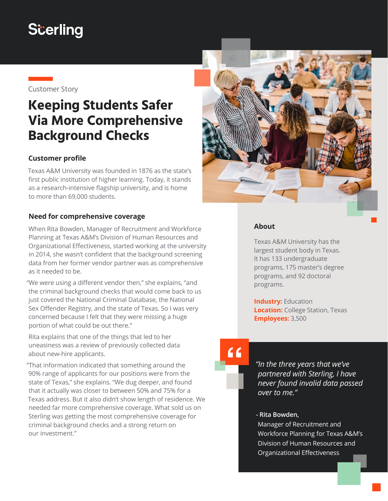# **S**cerling



## **Keeping Students Safer Via More Comprehensive Background Checks**

### **Customer profile**

Texas A&M University was founded in 1876 as the state's first public institution of higher learning. Today, it stands as a research-intensive flagship university, and is home to more than 69,000 students.

#### **Need for comprehensive coverage**

When Rita Bowden, Manager of Recruitment and Workforce Planning at Texas A&M's Division of Human Resources and Organizational Effectiveness, started working at the university in 2014, she wasn't confident that the background screening data from her former vendor partner was as comprehensive as it needed to be.

"We were using a different vendor then," she explains, "and the criminal background checks that would come back to us just covered the National Criminal Database, the National Sex Offender Registry, and the state of Texas. So I was very concerned because I felt that they were missing a huge portion of what could be out there."

Rita explains that one of the things that led to her uneasiness was a review of previously collected data about new-hire applicants.

"That information indicated that something around the 90% range of applicants for our positions were from the state of Texas," she explains. "We dug deeper, and found that it actually was closer to between 50% and 75% for a Texas address. But it also didn't show length of residence. We needed far more comprehensive coverage. What sold us on Sterling was getting the most comprehensive coverage for criminal background checks and a strong return on our investment."



### **About**

Texas A&M University has the largest student body in Texas. It has 133 undergraduate programs, 175 master's degree programs, and 92 doctoral programs.

**Industry: Education Location:** College Station, Texas **Employees:** 3,500

# "

*"In the three years that we've partnered with Sterling, I have never found invalid data passed over to me."*

#### **- Rita Bowden,**

Manager of Recruitment and Workforce Planning for Texas A&M's Division of Human Resources and Organizational Effectiveness